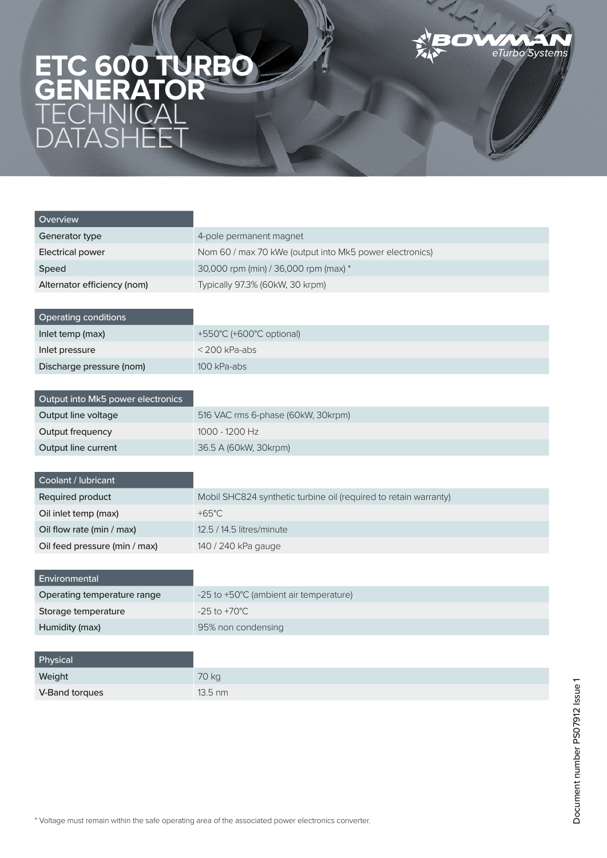## eTurbo Systems

## **ETC 600 TURBO GENERATOR TECHNICAL** DATASHEET

| Overview                          |                                                                  |  |
|-----------------------------------|------------------------------------------------------------------|--|
| Generator type                    | 4-pole permanent magnet                                          |  |
| <b>Electrical power</b>           | Nom 60 / max 70 kWe (output into Mk5 power electronics)          |  |
| Speed                             | 30,000 rpm (min) / 36,000 rpm (max) *                            |  |
| Alternator efficiency (nom)       | Typically 97.3% (60kW, 30 krpm)                                  |  |
|                                   |                                                                  |  |
| <b>Operating conditions</b>       |                                                                  |  |
| Inlet temp (max)                  | +550°C (+600°C optional)                                         |  |
| Inlet pressure                    | $<$ 200 kPa-abs                                                  |  |
| Discharge pressure (nom)          | 100 kPa-abs                                                      |  |
|                                   |                                                                  |  |
| Output into Mk5 power electronics |                                                                  |  |
| Output line voltage               | 516 VAC rms 6-phase (60kW, 30krpm)                               |  |
| Output frequency                  | 1000 - 1200 Hz                                                   |  |
| Output line current               | 36.5 A (60kW, 30krpm)                                            |  |
|                                   |                                                                  |  |
| Coolant / lubricant               |                                                                  |  |
| Required product                  | Mobil SHC824 synthetic turbine oil (required to retain warranty) |  |
| Oil inlet temp (max)              | $+65^{\circ}$ C                                                  |  |
| Oil flow rate (min / max)         | 12.5 / 14.5 litres/minute                                        |  |
| Oil feed pressure (min / max)     | 140 / 240 kPa gauge                                              |  |
|                                   |                                                                  |  |
| Environmental                     |                                                                  |  |
| Operating temperature range       | -25 to +50°C (ambient air temperature)                           |  |
| Storage temperature               | $-25$ to $+70^{\circ}$ C                                         |  |
| Humidity (max)                    | 95% non condensing                                               |  |
|                                   |                                                                  |  |

| Physical       |                   |
|----------------|-------------------|
| Weight         | 70 kg             |
| V-Band torques | $13.5 \text{ nm}$ |

F